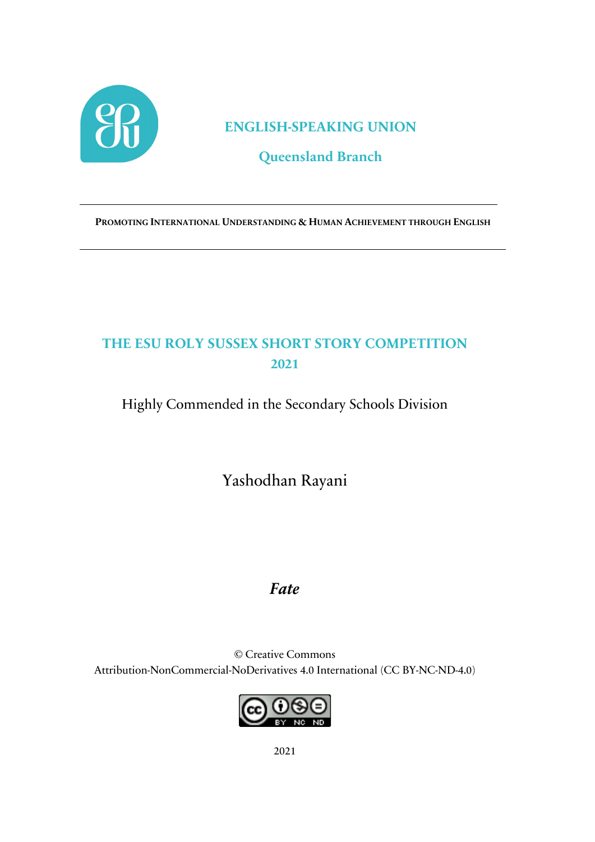

#### **ENGLISH-SPEAKING UNION**

## **Queensland Branch**

**PROMOTING INTERNATIONAL UNDERSTANDING & HUMAN ACHIEVEMENT THROUGH ENGLISH**

# **THE ESU ROLY SUSSEX SHORT STORY COMPETITION 2021**

Highly Commended in the Secondary Schools Division

Yashodhan Rayani

### *Fate*

© Creative Commons Attribution-NonCommercial-NoDerivatives 4.0 International (CC BY-NC-ND-4.0)

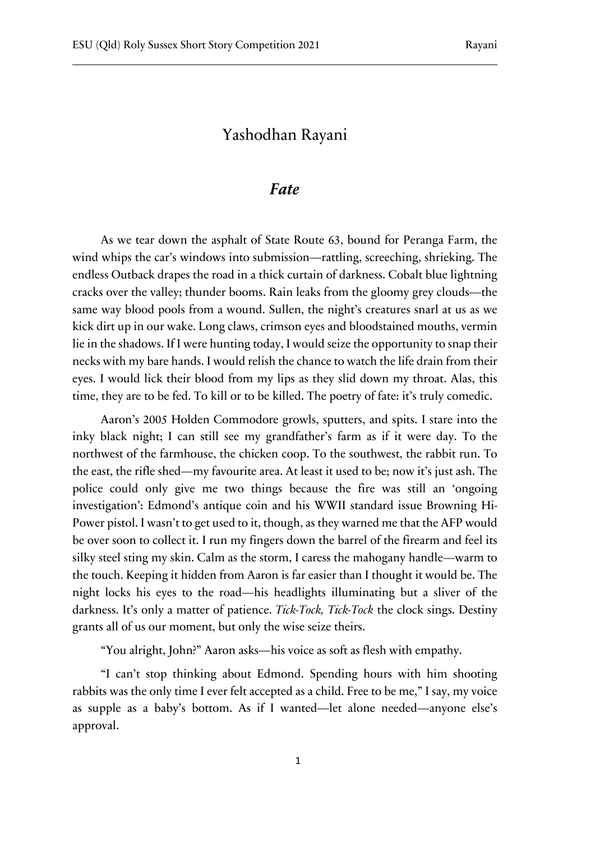#### Yashodhan Rayani

#### *Fate*

As we tear down the asphalt of State Route 63, bound for Peranga Farm, the wind whips the car's windows into submission—rattling, screeching, shrieking. The endless Outback drapes the road in a thick curtain of darkness. Cobalt blue lightning cracks over the valley; thunder booms. Rain leaks from the gloomy grey clouds—the same way blood pools from a wound. Sullen, the night's creatures snarl at us as we kick dirt up in our wake. Long claws, crimson eyes and bloodstained mouths, vermin lie in the shadows. If I were hunting today, I would seize the opportunity to snap their necks with my bare hands. I would relish the chance to watch the life drain from their eyes. I would lick their blood from my lips as they slid down my throat. Alas, this time, they are to be fed. To kill or to be killed. The poetry of fate: it's truly comedic.

Aaron's 2005 Holden Commodore growls, sputters, and spits. I stare into the inky black night; I can still see my grandfather's farm as if it were day. To the northwest of the farmhouse, the chicken coop. To the southwest, the rabbit run. To the east, the rifle shed—my favourite area. At least it used to be; now it's just ash. The police could only give me two things because the fire was still an 'ongoing investigation': Edmond's antique coin and his WWII standard issue Browning Hi-Power pistol. I wasn't to get used to it, though, as they warned me that the AFP would be over soon to collect it. I run my fingers down the barrel of the firearm and feel its silky steel sting my skin. Calm as the storm, I caress the mahogany handle—warm to the touch. Keeping it hidden from Aaron is far easier than I thought it would be. The night locks his eyes to the road—his headlights illuminating but a sliver of the darkness. It's only a matter of patience. *Tick-Tock, Tick-Tock* the clock sings. Destiny grants all of us our moment, but only the wise seize theirs.

"You alright, John?" Aaron asks—his voice as soft as flesh with empathy.

"I can't stop thinking about Edmond. Spending hours with him shooting rabbits was the only time I ever felt accepted as a child. Free to be me," I say, my voice as supple as a baby's bottom. As if I wanted—let alone needed—anyone else's approval.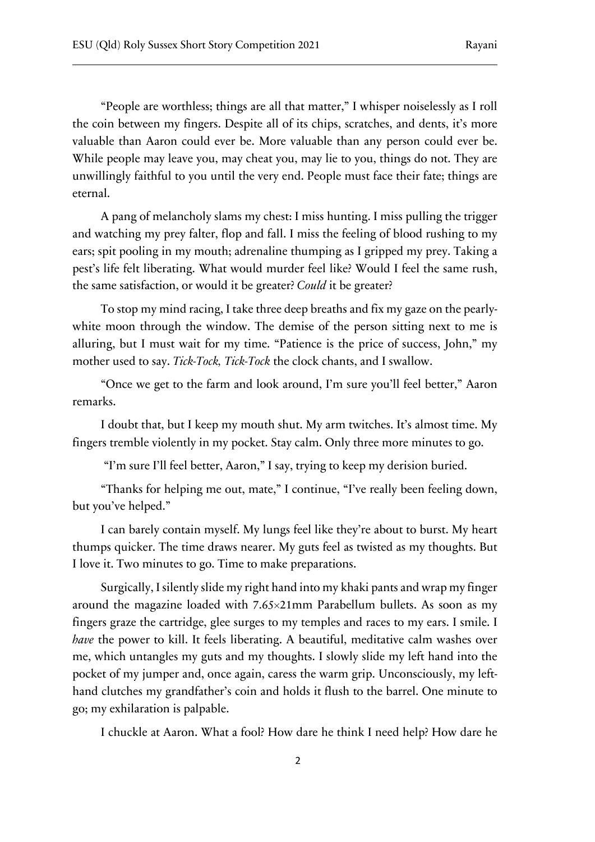"People are worthless; things are all that matter," I whisper noiselessly as I roll the coin between my fingers. Despite all of its chips, scratches, and dents, it's more valuable than Aaron could ever be. More valuable than any person could ever be. While people may leave you, may cheat you, may lie to you, things do not. They are unwillingly faithful to you until the very end. People must face their fate; things are eternal.

A pang of melancholy slams my chest: I miss hunting. I miss pulling the trigger and watching my prey falter, flop and fall. I miss the feeling of blood rushing to my ears; spit pooling in my mouth; adrenaline thumping as I gripped my prey. Taking a pest's life felt liberating. What would murder feel like? Would I feel the same rush, the same satisfaction, or would it be greater? *Could* it be greater?

To stop my mind racing, I take three deep breaths and fix my gaze on the pearlywhite moon through the window. The demise of the person sitting next to me is alluring, but I must wait for my time. "Patience is the price of success, John," my mother used to say. *Tick-Tock, Tick-Tock* the clock chants, and I swallow.

"Once we get to the farm and look around, I'm sure you'll feel better," Aaron remarks.

I doubt that, but I keep my mouth shut. My arm twitches. It's almost time. My fingers tremble violently in my pocket. Stay calm. Only three more minutes to go.

"I'm sure I'll feel better, Aaron," I say, trying to keep my derision buried.

"Thanks for helping me out, mate," I continue, "I've really been feeling down, but you've helped."

I can barely contain myself. My lungs feel like they're about to burst. My heart thumps quicker. The time draws nearer. My guts feel as twisted as my thoughts. But I love it. Two minutes to go. Time to make preparations.

Surgically, I silently slide my right hand into my khaki pants and wrap my finger around the magazine loaded with 7.65×21mm Parabellum bullets. As soon as my fingers graze the cartridge, glee surges to my temples and races to my ears. I smile. I *have* the power to kill. It feels liberating. A beautiful, meditative calm washes over me, which untangles my guts and my thoughts. I slowly slide my left hand into the pocket of my jumper and, once again, caress the warm grip. Unconsciously, my lefthand clutches my grandfather's coin and holds it flush to the barrel. One minute to go; my exhilaration is palpable.

I chuckle at Aaron. What a fool? How dare he think I need help? How dare he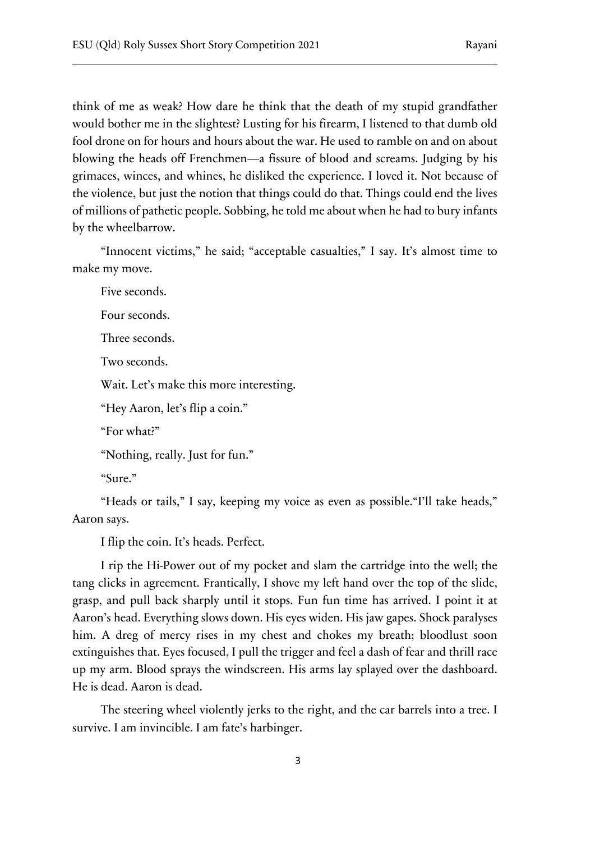think of me as weak? How dare he think that the death of my stupid grandfather would bother me in the slightest? Lusting for his firearm, I listened to that dumb old fool drone on for hours and hours about the war. He used to ramble on and on about blowing the heads off Frenchmen—a fissure of blood and screams. Judging by his grimaces, winces, and whines, he disliked the experience. I loved it. Not because of the violence, but just the notion that things could do that. Things could end the lives of millions of pathetic people. Sobbing, he told me about when he had to bury infants by the wheelbarrow.

"Innocent victims," he said; "acceptable casualties," I say. It's almost time to make my move.

Five seconds. Four seconds. Three seconds. Two seconds. Wait. Let's make this more interesting. "Hey Aaron, let's flip a coin." "For what?" "Nothing, really. Just for fun." "Sure."

"Heads or tails," I say, keeping my voice as even as possible."I'll take heads," Aaron says.

I flip the coin. It's heads. Perfect.

I rip the Hi-Power out of my pocket and slam the cartridge into the well; the tang clicks in agreement. Frantically, I shove my left hand over the top of the slide, grasp, and pull back sharply until it stops. Fun fun time has arrived. I point it at Aaron's head. Everything slows down. His eyes widen. His jaw gapes. Shock paralyses him. A dreg of mercy rises in my chest and chokes my breath; bloodlust soon extinguishes that. Eyes focused, I pull the trigger and feel a dash of fear and thrill race up my arm. Blood sprays the windscreen. His arms lay splayed over the dashboard. He is dead. Aaron is dead.

The steering wheel violently jerks to the right, and the car barrels into a tree. I survive. I am invincible. I am fate's harbinger.